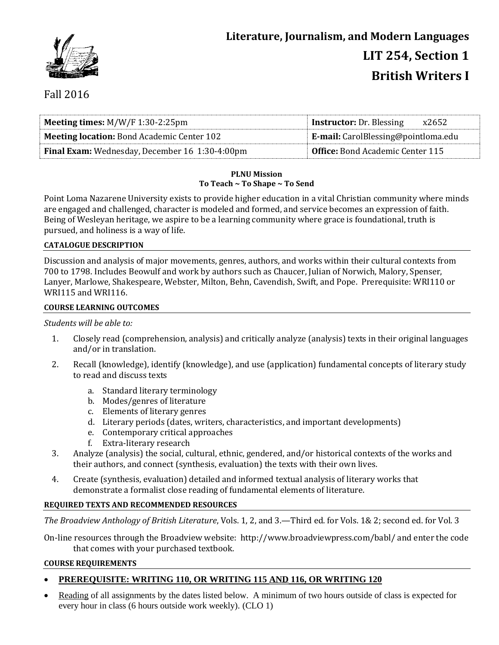

# Fall 2016

| <b>Meeting times:</b> $M/W/F$ 1:30-2:25pm             | <b>Instructor:</b> Dr. Blessing<br>x2652   |  |
|-------------------------------------------------------|--------------------------------------------|--|
| <b>Meeting location: Bond Academic Center 102</b>     | <b>E-mail:</b> CarolBlessing@pointloma.edu |  |
| <b>Final Exam:</b> Wednesday, December 16 1:30-4:00pm | <b>Office:</b> Bond Academic Center 115    |  |

## **PLNU Mission To Teach ~ To Shape ~ To Send**

Point Loma Nazarene University exists to provide higher education in a vital Christian community where minds are engaged and challenged, character is modeled and formed, and service becomes an expression of faith. Being of Wesleyan heritage, we aspire to be a learning community where grace is foundational, truth is pursued, and holiness is a way of life.

## **CATALOGUE DESCRIPTION**

Discussion and analysis of major movements, genres, authors, and works within their cultural contexts from 700 to 1798. Includes Beowulf and work by authors such as Chaucer, Julian of Norwich, Malory, Spenser, Lanyer, Marlowe, Shakespeare, Webster, Milton, Behn, Cavendish, Swift, and Pope. Prerequisite: WRI110 or WRI115 and WRI116.

## **COURSE LEARNING OUTCOMES**

## *Students will be able to:*

- 1. Closely read (comprehension, analysis) and critically analyze (analysis) texts in their original languages and/or in translation.
- 2. Recall (knowledge), identify (knowledge), and use (application) fundamental concepts of literary study to read and discuss texts
	- a. Standard literary terminology
	- b. Modes/genres of literature
	- c. Elements of literary genres
	- d. Literary periods (dates, writers, characteristics, and important developments)
	- e. Contemporary critical approaches
	- f. Extra-literary research
- 3. Analyze (analysis) the social, cultural, ethnic, gendered, and/or historical contexts of the works and their authors, and connect (synthesis, evaluation) the texts with their own lives.
- 4. Create (synthesis, evaluation) detailed and informed textual analysis of literary works that demonstrate a formalist close reading of fundamental elements of literature.

## **REQUIRED TEXTS AND RECOMMENDED RESOURCES**

*The Broadview Anthology of British Literature*, Vols. 1, 2, and 3.—Third ed. for Vols. 1& 2; second ed. for Vol. 3

On-line resources through the Broadview website: http://www.broadviewpress.com/babl/ and enter the code that comes with your purchased textbook.

## **COURSE REQUIREMENTS**

## **PREREQUISITE: WRITING 110, OR WRITING 115 AND 116, OR WRITING 120**

 Reading of all assignments by the dates listed below. A minimum of two hours outside of class is expected for every hour in class (6 hours outside work weekly). (CLO 1)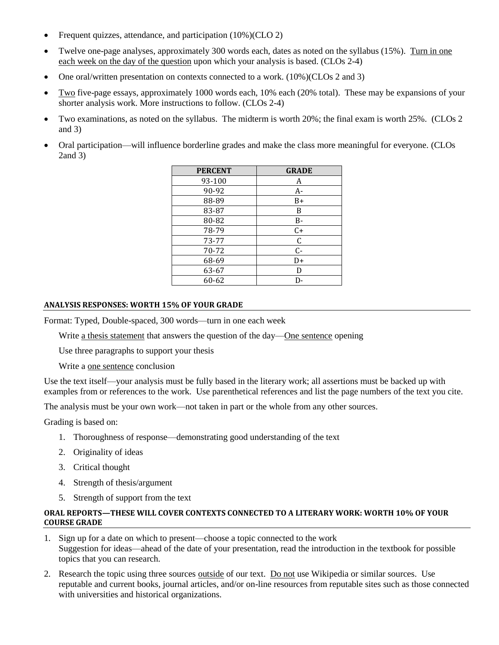- Frequent quizzes, attendance, and participation (10%)(CLO 2)
- Twelve one-page analyses, approximately 300 words each, dates as noted on the syllabus (15%). Turn in one each week on the day of the question upon which your analysis is based. (CLOs 2-4)
- One oral/written presentation on contexts connected to a work. (10%)(CLOs 2 and 3)
- Two five-page essays, approximately 1000 words each, 10% each (20% total). These may be expansions of your shorter analysis work. More instructions to follow. (CLOs 2-4)
- Two examinations, as noted on the syllabus. The midterm is worth 20%; the final exam is worth 25%. (CLOs 2 and 3)
- Oral participation—will influence borderline grades and make the class more meaningful for everyone. (CLOs 2and 3)

| <b>PERCENT</b> | <b>GRADE</b> |
|----------------|--------------|
| 93-100         | A            |
| 90-92          | A-           |
| 88-89          | B+           |
| 83-87          | B            |
| 80-82          | B-           |
| 78-79          | $C+$         |
| 73-77          | $\mathsf C$  |
| 70-72          | $C -$        |
| 68-69          | D+           |
| 63-67          | D            |
| 60-62          | D-           |

#### **ANALYSIS RESPONSES: WORTH 15% OF YOUR GRADE**

Format: Typed, Double-spaced, 300 words—turn in one each week

Write <u>a thesis statement</u> that answers the question of the day—One sentence opening

Use three paragraphs to support your thesis

Write a one sentence conclusion

Use the text itself—your analysis must be fully based in the literary work; all assertions must be backed up with examples from or references to the work. Use parenthetical references and list the page numbers of the text you cite.

The analysis must be your own work—not taken in part or the whole from any other sources.

Grading is based on:

- 1. Thoroughness of response—demonstrating good understanding of the text
- 2. Originality of ideas
- 3. Critical thought
- 4. Strength of thesis/argument
- 5. Strength of support from the text

## **ORAL REPORTS—THESE WILL COVER CONTEXTS CONNECTED TO A LITERARY WORK: WORTH 10% OF YOUR COURSE GRADE**

- 1. Sign up for a date on which to present—choose a topic connected to the work Suggestion for ideas—ahead of the date of your presentation, read the introduction in the textbook for possible topics that you can research.
- 2. Research the topic using three sources outside of our text. Do not use Wikipedia or similar sources. Use reputable and current books, journal articles, and/or on-line resources from reputable sites such as those connected with universities and historical organizations.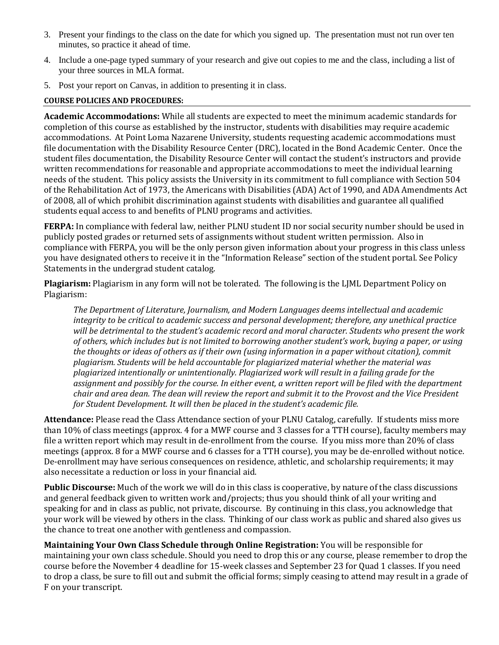- 3. Present your findings to the class on the date for which you signed up. The presentation must not run over ten minutes, so practice it ahead of time.
- 4. Include a one-page typed summary of your research and give out copies to me and the class, including a list of your three sources in MLA format.
- 5. Post your report on Canvas, in addition to presenting it in class.

## **COURSE POLICIES AND PROCEDURES:**

**Academic Accommodations:** While all students are expected to meet the minimum academic standards for completion of this course as established by the instructor, students with disabilities may require academic accommodations. At Point Loma Nazarene University, students requesting academic accommodations must file documentation with the Disability Resource Center (DRC), located in the Bond Academic Center. Once the student files documentation, the Disability Resource Center will contact the student's instructors and provide written recommendations for reasonable and appropriate accommodations to meet the individual learning needs of the student. This policy assists the University in its commitment to full compliance with Section 504 of the Rehabilitation Act of 1973, the Americans with Disabilities (ADA) Act of 1990, and ADA Amendments Act of 2008, all of which prohibit discrimination against students with disabilities and guarantee all qualified students equal access to and benefits of PLNU programs and activities.

**FERPA:** In compliance with federal law, neither PLNU student ID nor social security number should be used in publicly posted grades or returned sets of assignments without student written permission. Also in compliance with FERPA, you will be the only person given information about your progress in this class unless you have designated others to receive it in the "Information Release" section of the student portal. See Policy Statements in the undergrad student catalog.

**Plagiarism:** Plagiarism in any form will not be tolerated. The following is the LJML Department Policy on Plagiarism:

*The Department of Literature, Journalism, and Modern Languages deems intellectual and academic integrity to be critical to academic success and personal development; therefore, any unethical practice will be detrimental to the student's academic record and moral character. Students who present the work of others, which includes but is not limited to borrowing another student's work, buying a paper, or using the thoughts or ideas of others as if their own (using information in a paper without citation), commit plagiarism. Students will be held accountable for plagiarized material whether the material was plagiarized intentionally or unintentionally. Plagiarized work will result in a failing grade for the assignment and possibly for the course. In either event, a written report will be filed with the department chair and area dean. The dean will review the report and submit it to the Provost and the Vice President for Student Development. It will then be placed in the student's academic file.*

**Attendance:** Please read the Class Attendance section of your PLNU Catalog, carefully. If students miss more than 10% of class meetings (approx. 4 for a MWF course and 3 classes for a TTH course), faculty members may file a written report which may result in de-enrollment from the course. If you miss more than 20% of class meetings (approx. 8 for a MWF course and 6 classes for a TTH course), you may be de-enrolled without notice. De-enrollment may have serious consequences on residence, athletic, and scholarship requirements; it may also necessitate a reduction or loss in your financial aid.

**Public Discourse:** Much of the work we will do in this class is cooperative, by nature of the class discussions and general feedback given to written work and/projects; thus you should think of all your writing and speaking for and in class as public, not private, discourse. By continuing in this class, you acknowledge that your work will be viewed by others in the class. Thinking of our class work as public and shared also gives us the chance to treat one another with gentleness and compassion.

**Maintaining Your Own Class Schedule through Online Registration:** You will be responsible for maintaining your own class schedule. Should you need to drop this or any course, please remember to drop the course before the November 4 deadline for 15-week classes and September 23 for Quad 1 classes. If you need to drop a class, be sure to fill out and submit the official forms; simply ceasing to attend may result in a grade of F on your transcript.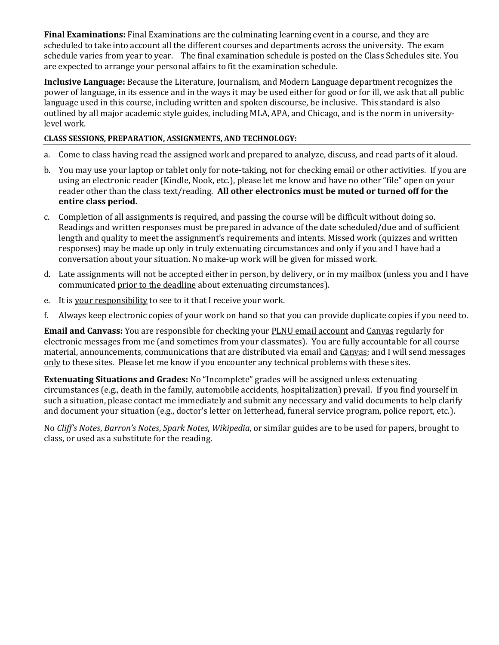**Final Examinations:** Final Examinations are the culminating learning event in a course, and they are scheduled to take into account all the different courses and departments across the university. The exam schedule varies from year to year. The final examination schedule is posted on the Class Schedules site. You are expected to arrange your personal affairs to fit the examination schedule.

**Inclusive Language:** Because the Literature, Journalism, and Modern Language department recognizes the power of language, in its essence and in the ways it may be used either for good or for ill, we ask that all public language used in this course, including written and spoken discourse, be inclusive. This standard is also outlined by all major academic style guides, including MLA, APA, and Chicago, and is the norm in universitylevel work.

## **CLASS SESSIONS, PREPARATION, ASSIGNMENTS, AND TECHNOLOGY:**

- a. Come to class having read the assigned work and prepared to analyze, discuss, and read parts of it aloud.
- b. You may use your laptop or tablet only for note-taking, not for checking email or other activities. If you are using an electronic reader (Kindle, Nook, etc.), please let me know and have no other "file" open on your reader other than the class text/reading. **All other electronics must be muted or turned off for the entire class period.**
- c. Completion of all assignments is required, and passing the course will be difficult without doing so. Readings and written responses must be prepared in advance of the date scheduled/due and of sufficient length and quality to meet the assignment's requirements and intents. Missed work (quizzes and written responses) may be made up only in truly extenuating circumstances and only if you and I have had a conversation about your situation. No make-up work will be given for missed work.
- d. Late assignments will not be accepted either in person, by delivery, or in my mailbox (unless you and I have communicated prior to the deadline about extenuating circumstances).
- e. It is your responsibility to see to it that I receive your work.
- f. Always keep electronic copies of your work on hand so that you can provide duplicate copies if you need to.

**Email and Canvass:** You are responsible for checking your PLNU email account and Canvas regularly for electronic messages from me (and sometimes from your classmates). You are fully accountable for all course material, announcements, communications that are distributed via email and Canvas; and I will send messages only to these sites. Please let me know if you encounter any technical problems with these sites.

**Extenuating Situations and Grades:** No "Incomplete" grades will be assigned unless extenuating circumstances (e.g., death in the family, automobile accidents, hospitalization) prevail. If you find yourself in such a situation, please contact me immediately and submit any necessary and valid documents to help clarify and document your situation (e.g., doctor's letter on letterhead, funeral service program, police report, etc.).

No *Cliff's Notes*, *Barron's Notes*, *Spark Notes*, *Wikipedia*, or similar guides are to be used for papers, brought to class, or used as a substitute for the reading.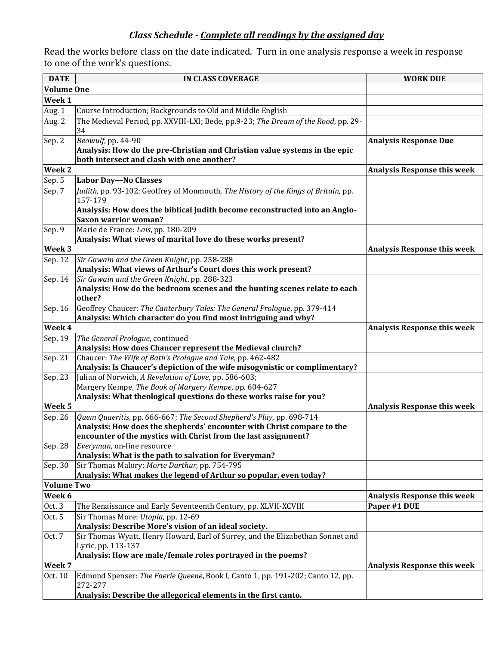# *Class Schedule - Complete all readings by the assigned day*

Read the works before class on the date indicated. Turn in one analysis response a week in response to one of the work's questions.

| <b>DATE</b>         | <b>IN CLASS COVERAGE</b>                                                                                                                                                                                         | <b>WORK DUE</b>                    |
|---------------------|------------------------------------------------------------------------------------------------------------------------------------------------------------------------------------------------------------------|------------------------------------|
| <b>Volume One</b>   |                                                                                                                                                                                                                  |                                    |
| Week 1              |                                                                                                                                                                                                                  |                                    |
| Aug. 1              | Course Introduction; Backgrounds to Old and Middle English                                                                                                                                                       |                                    |
| Aug. 2              | The Medieval Period, pp. XXVIII-LXI; Bede, pp.9-23; The Dream of the Rood, pp. 29-<br>34                                                                                                                         |                                    |
| Sep. 2              | Beowulf, pp. 44-90<br>Analysis: How do the pre-Christian and Christian value systems in the epic<br>both intersect and clash with one another?                                                                   | <b>Analysis Response Due</b>       |
| Week 2              |                                                                                                                                                                                                                  | <b>Analysis Response this week</b> |
| Sep. 5              | <b>Labor Day-No Classes</b>                                                                                                                                                                                      |                                    |
| Sep. 7              | Judith, pp. 93-102; Geoffrey of Monmouth, The History of the Kings of Britain, pp.<br>157-179                                                                                                                    |                                    |
|                     | Analysis: How does the biblical Judith become reconstructed into an Anglo-<br><b>Saxon warrior woman?</b>                                                                                                        |                                    |
| Sep. 9              | Marie de France: Lais, pp. 180-209<br>Analysis: What views of marital love do these works present?                                                                                                               |                                    |
| Week 3              |                                                                                                                                                                                                                  | <b>Analysis Response this week</b> |
| Sep. 12             | Sir Gawain and the Green Knight, pp. 258-288<br>Analysis: What views of Arthur's Court does this work present?                                                                                                   |                                    |
| Sep. 14             | Sir Gawain and the Green Knight, pp. 288-323<br>Analysis: How do the bedroom scenes and the hunting scenes relate to each<br>other?                                                                              |                                    |
| Sep. 16             | Geoffrey Chaucer: The Canterbury Tales: The General Prologue, pp. 379-414<br>Analysis: Which character do you find most intriguing and why?                                                                      |                                    |
| Week 4              |                                                                                                                                                                                                                  | <b>Analysis Response this week</b> |
| Sep. 19             | The General Prologue, continued<br>Analysis: How does Chaucer represent the Medieval church?                                                                                                                     |                                    |
| Sep. 21             | Chaucer: The Wife of Bath's Prologue and Tale, pp. 462-482<br>Analysis: Is Chaucer's depiction of the wife misogynistic or complimentary?                                                                        |                                    |
| Sep. 23             | Julian of Norwich, A Revelation of Love, pp. 586-603;<br>Margery Kempe, The Book of Margery Kempe, pp. 604-627<br>Analysis: What theological questions do these works raise for you?                             |                                    |
| Week <sub>5</sub>   |                                                                                                                                                                                                                  | <b>Analysis Response this week</b> |
| Sep. 26             | Quem Quaeritis, pp. 666-667; The Second Shepherd's Play, pp. 698-714<br>Analysis: How does the shepherds' encounter with Christ compare to the<br>encounter of the mystics with Christ from the last assignment? |                                    |
| Sep. 28             | Everyman, on-line resource<br>Analysis: What is the path to salvation for Everyman?                                                                                                                              |                                    |
| Sep. 30             | Sir Thomas Malory: Morte Darthur, pp. 754-795<br>Analysis: What makes the legend of Arthur so popular, even today?                                                                                               |                                    |
| <b>Volume Two</b>   |                                                                                                                                                                                                                  |                                    |
| Week 6              |                                                                                                                                                                                                                  | <b>Analysis Response this week</b> |
| Oct. 3              | The Renaissance and Early Seventeenth Century, pp. XLVII-XCVIII                                                                                                                                                  | Paper #1 DUE                       |
| Oct. 5              | Sir Thomas More: Utopia, pp. 12-69<br>Analysis: Describe More's vision of an ideal society.                                                                                                                      |                                    |
| Oct. 7              | Sir Thomas Wyatt, Henry Howard, Earl of Surrey, and the Elizabethan Sonnet and<br>Lyric, pp. 113-137<br>Analysis: How are male/female roles portrayed in the poems?                                              |                                    |
| Week $\overline{7}$ |                                                                                                                                                                                                                  | <b>Analysis Response this week</b> |
| Oct. 10             | Edmond Spenser: The Faerie Queene, Book I, Canto 1, pp. 191-202; Canto 12, pp.<br>272-277                                                                                                                        |                                    |
|                     | Analysis: Describe the allegorical elements in the first canto.                                                                                                                                                  |                                    |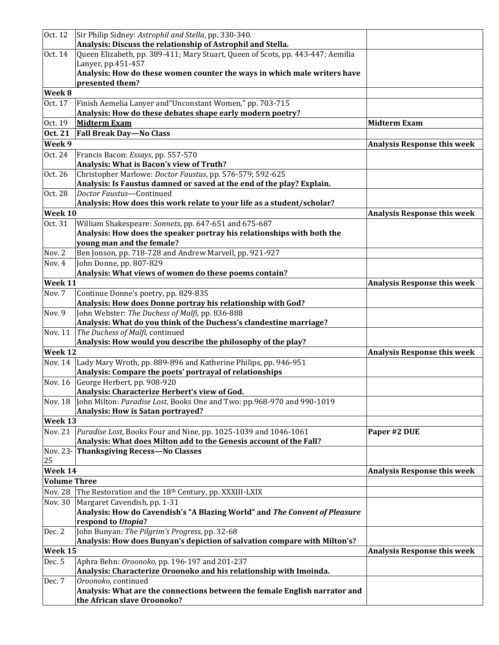| Oct. 12             | Sir Philip Sidney: Astrophil and Stella, pp. 330-340.                                                 |                                    |
|---------------------|-------------------------------------------------------------------------------------------------------|------------------------------------|
|                     | Analysis: Discuss the relationship of Astrophil and Stella.                                           |                                    |
| Oct. 14             | Queen Elizabeth, pp. 389-411; Mary Stuart, Queen of Scots, pp. 443-447; Aemilia<br>Lanyer, pp.451-457 |                                    |
|                     | Analysis: How do these women counter the ways in which male writers have                              |                                    |
|                     | presented them?                                                                                       |                                    |
| Week 8              |                                                                                                       |                                    |
| Oct. 17             | Finish Aemelia Lanyer and "Unconstant Women," pp. 703-715                                             |                                    |
|                     | Analysis: How do these debates shape early modern poetry?<br><b>Midterm Exam</b>                      | <b>Midterm Exam</b>                |
| Oct. 19             | <b>Fall Break Day-No Class</b>                                                                        |                                    |
| Oct. 21             |                                                                                                       |                                    |
| Week 9              |                                                                                                       | <b>Analysis Response this week</b> |
| Oct. 24             | Francis Bacon: Essays, pp. 557-570<br>Analysis: What is Bacon's view of Truth?                        |                                    |
| Oct. 26             | Christopher Marlowe: Doctor Faustus, pp. 576-579; 592-625                                             |                                    |
|                     | Analysis: Is Faustus damned or saved at the end of the play? Explain.                                 |                                    |
| Oct. 28             | Doctor Faustus-Continued                                                                              |                                    |
|                     | Analysis: How does this work relate to your life as a student/scholar?                                |                                    |
| Week 10             |                                                                                                       | <b>Analysis Response this week</b> |
| Oct. 31             | William Shakespeare: Sonnets, pp. 647-651 and 675-687                                                 |                                    |
|                     | Analysis: How does the speaker portray his relationships with both the<br>young man and the female?   |                                    |
| Nov. 2              | Ben Jonson, pp. 718-728 and Andrew Marvell, pp. 921-927                                               |                                    |
| Nov. 4              | John Donne, pp. 807-829                                                                               |                                    |
|                     | Analysis: What views of women do these poems contain?                                                 |                                    |
| Week 11             |                                                                                                       | <b>Analysis Response this week</b> |
| Nov. 7              | Continue Donne's poetry, pp. 829-835                                                                  |                                    |
|                     | Analysis: How does Donne portray his relationship with God?                                           |                                    |
| Nov. 9              | John Webster: The Duchess of Malfi, pp. 836-888                                                       |                                    |
|                     | Analysis: What do you think of the Duchess's clandestine marriage?                                    |                                    |
| Nov. 11             | The Duchess of Malfi, continued                                                                       |                                    |
|                     | Analysis: How would you describe the philosophy of the play?                                          |                                    |
| Week 12             |                                                                                                       | <b>Analysis Response this week</b> |
| Nov. 14             | Lady Mary Wroth, pp. 889-896 and Katherine Philips, pp. 946-951                                       |                                    |
|                     | Analysis: Compare the poets' portrayal of relationships                                               |                                    |
| Nov. 16             | George Herbert, pp. 908-920<br>Analysis: Characterize Herbert's view of God.                          |                                    |
| Nov. 18             | John Milton: Paradise Lost, Books One and Two: pp.968-970 and 990-1019                                |                                    |
|                     | <b>Analysis: How is Satan portrayed?</b>                                                              |                                    |
| Week 13             |                                                                                                       |                                    |
| <b>Nov. 21</b>      | Paradise Lost, Books Four and Nine, pp. 1025-1039 and 1046-1061                                       | Paper #2 DUE                       |
|                     | Analysis: What does Milton add to the Genesis account of the Fall?                                    |                                    |
|                     | Nov. 23- Thanksgiving Recess-No Classes                                                               |                                    |
| 25                  |                                                                                                       |                                    |
| Week 14             |                                                                                                       | <b>Analysis Response this week</b> |
| <b>Volume Three</b> |                                                                                                       |                                    |
| <b>Nov. 28</b>      | The Restoration and the 18th Century, pp. XXXIII-LXIX                                                 |                                    |
| Nov. 30             | Margaret Cavendish, pp. 1-31                                                                          |                                    |
|                     | Analysis: How do Cavendish's "A Blazing World" and The Convent of Pleasure<br>respond to Utopia?      |                                    |
| Dec. 2              | John Bunyan: The Pilgrim's Progress, pp. 32-68                                                        |                                    |
|                     | Analysis: How does Bunyan's depiction of salvation compare with Milton's?                             |                                    |
| Week 15             |                                                                                                       | <b>Analysis Response this week</b> |
| Dec. 5              | Aphra Behn: Oroonoko, pp. 196-197 and 201-237                                                         |                                    |
|                     | Analysis: Characterize Oroonoko and his relationship with Imoinda.                                    |                                    |
| Dec. 7              | Oroonoko, continued                                                                                   |                                    |
|                     | Analysis: What are the connections between the female English narrator and                            |                                    |
|                     | the African slave Oroonoko?                                                                           |                                    |